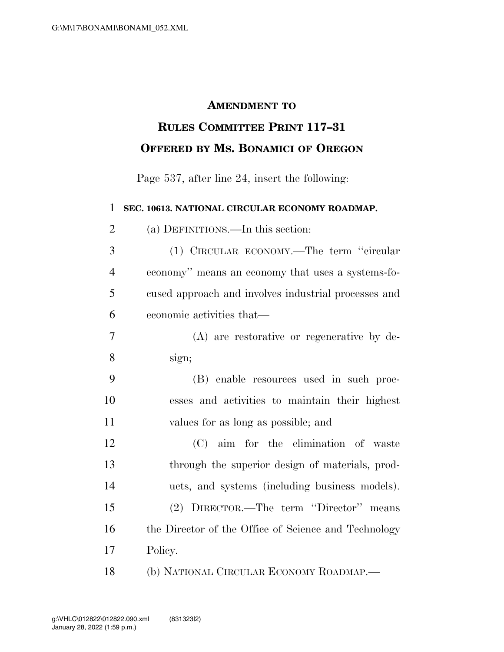## **AMENDMENT TO**

## **RULES COMMITTEE PRINT 117–31 OFFERED BY MS. BONAMICI OF OREGON**

Page 537, after line 24, insert the following:

**SEC. 10613. NATIONAL CIRCULAR ECONOMY ROADMAP.** 

(a) DEFINITIONS.—In this section:

 (1) CIRCULAR ECONOMY.—The term ''circular economy'' means an economy that uses a systems-fo- cused approach and involves industrial processes and economic activities that—

- (A) are restorative or regenerative by de-sign;
- (B) enable resources used in such proc- esses and activities to maintain their highest values for as long as possible; and

 (C) aim for the elimination of waste through the superior design of materials, prod- ucts, and systems (including business models). (2) DIRECTOR.—The term ''Director'' means 16 the Director of the Office of Science and Technology Policy.

(b) NATIONAL CIRCULAR ECONOMY ROADMAP.—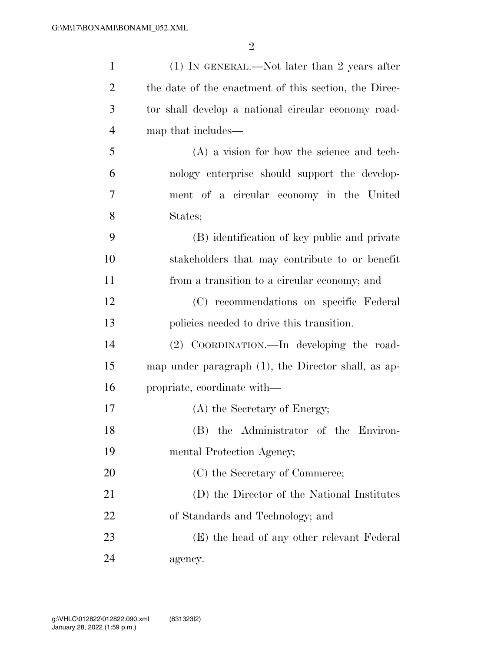| $\mathbf{1}$   | $(1)$ In GENERAL.—Not later than 2 years after         |
|----------------|--------------------------------------------------------|
| $\overline{2}$ | the date of the enactment of this section, the Direc-  |
| 3              | tor shall develop a national circular economy road-    |
| $\overline{4}$ | map that includes—                                     |
| 5              | $(A)$ a vision for how the science and tech-           |
| 6              | nology enterprise should support the develop-          |
| 7              | ment of a circular economy in the United               |
| 8              | States;                                                |
| 9              | (B) identification of key public and private           |
| 10             | stakeholders that may contribute to or benefit         |
| 11             | from a transition to a circular economy; and           |
| 12             | (C) recommendations on specific Federal                |
| 13             | policies needed to drive this transition.              |
| 14             | (2) COORDINATION.—In developing the road-              |
| 15             | map under paragraph $(1)$ , the Director shall, as ap- |
| 16             | propriate, coordinate with—                            |
| 17             | (A) the Secretary of Energy;                           |
| 18             | (B) the Administrator of the Environ-                  |
| 19             | mental Protection Agency;                              |
| 20             | (C) the Secretary of Commerce;                         |
| 21             | (D) the Director of the National Institutes            |
| 22             | of Standards and Technology; and                       |
| 23             | (E) the head of any other relevant Federal             |
| 24             | agency.                                                |